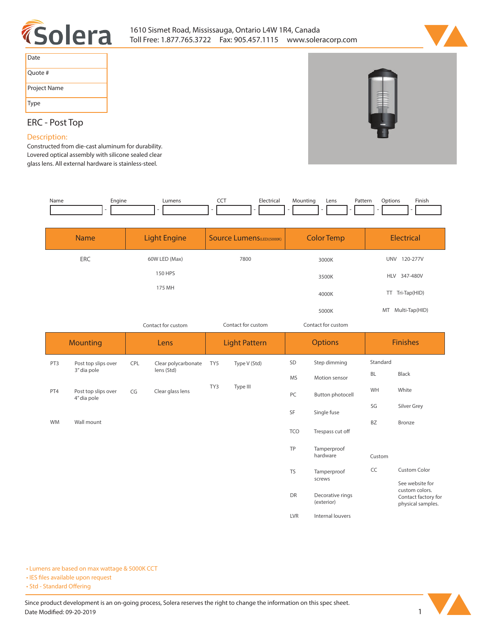



| Date         |
|--------------|
| Ouote #      |
| Project Name |
| Type         |

## **ERC - Post Top**

#### **Description:**

**Constructed from die-cast aluminum for durability. Lovered optical assembly with silicone sealed clear glass lens. All external hardware is stainless-steel.**

| Name | Enaine | Lumens | ---<br>___ | Mectrical<br>$\sim$ $\sim$ | Mountinc | Lens | <sup>9</sup> atterr<br>. | .)ptions | Finish<br>the contract of the contract of the |
|------|--------|--------|------------|----------------------------|----------|------|--------------------------|----------|-----------------------------------------------|
|      |        |        |            |                            |          |      |                          |          |                                               |

| <b>Name</b> | <b>Light Engine</b> | <b>Source Lumens</b> (LED)(5000K) | <b>Color Temp</b>  | <b>Electrical</b>      |
|-------------|---------------------|-----------------------------------|--------------------|------------------------|
| ERC         | 60W LED (Max)       | 7800                              | 3000K              | 120-277V<br><b>UNV</b> |
|             | <b>150 HPS</b>      |                                   | 3500K              | HLV 347-480V           |
|             | 175 MH              |                                   | 4000K              | TT Tri-Tap(HID)        |
|             |                     |                                   | 5000K              | MT Multi-Tap(HID)      |
|             | Contact for custom  | Contact for custom                | Contact for custom |                        |

*Contact for custom Contact for custom*

|           | <b>Mounting</b>                    |     | Lens                |     | <b>Light Pattern</b> |            | <b>Options</b>                 |           | <b>Finishes</b>                                            |  |
|-----------|------------------------------------|-----|---------------------|-----|----------------------|------------|--------------------------------|-----------|------------------------------------------------------------|--|
| PT3       | Post top slips over                | CPL | Clear polycarbonate | TY5 | Type V (Std)         | SD         | Step dimming                   | Standard  |                                                            |  |
|           | 3" dia pole                        |     | lens (Std)          |     |                      | <b>MS</b>  | Motion sensor                  | <b>BL</b> | Black                                                      |  |
| PT4       | Post top slips over<br>4" dia pole | CG  | Clear glass lens    | TY3 | Type III             | PC         | Button photocell               | WH        | White                                                      |  |
|           |                                    |     |                     |     |                      | SF         | Single fuse                    | SG        | Silver Grey                                                |  |
| <b>WM</b> | Wall mount                         |     |                     |     |                      |            |                                | <b>BZ</b> | Bronze                                                     |  |
|           |                                    |     |                     |     |                      | <b>TCO</b> | Trespass cut off               |           |                                                            |  |
|           |                                    |     |                     |     |                      | TP         | Tamperproof<br>hardware        | Custom    |                                                            |  |
|           |                                    |     |                     |     |                      | <b>TS</b>  | Tamperproof                    | CC        | <b>Custom Color</b>                                        |  |
|           |                                    |     |                     |     |                      |            | screws                         |           | See website for                                            |  |
|           |                                    |     |                     |     |                      | DR         | Decorative rings<br>(exterior) |           | custom colors.<br>Contact factory for<br>physical samples. |  |
|           |                                    |     |                     |     |                      | <b>LVR</b> | Internal louvers               |           |                                                            |  |

**• Lumens are based on max wattage & 5000K CCT**

**• IES files available upon request** 

• Std - Standard Offering

Since product development is an on-going process, Solera reserves the right to change the information on this spec sheet. **Date Modified: 09-20-2019** 1